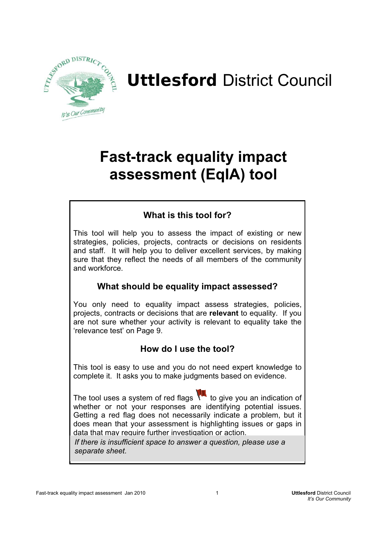

# Uttlesford District Council

# **Fast-track equality impact assessment (EqIA) tool**

# **What is this tool for?**

This tool will help you to assess the impact of existing or new strategies, policies, projects, contracts or decisions on residents and staff. It will help you to deliver excellent services, by making sure that they reflect the needs of all members of the community and workforce.

# **What should be equality impact assessed?**

You only need to equality impact assess strategies, policies, projects, contracts or decisions that are **relevant** to equality. If you are not sure whether your activity is relevant to equality take the 'relevance test' on Page 9.

# **How do I use the tool?**

This tool is easy to use and you do not need expert knowledge to complete it. It asks you to make judgments based on evidence.

The tool uses a system of red flags  $\mathcal{X}$  to give you an indication of whether or not your responses are identifying potential issues. Getting a red flag does not necessarily indicate a problem, but it does mean that your assessment is highlighting issues or gaps in data that may require further investigation or action.

*If there is insufficient space to answer a question, please use a separate sheet.*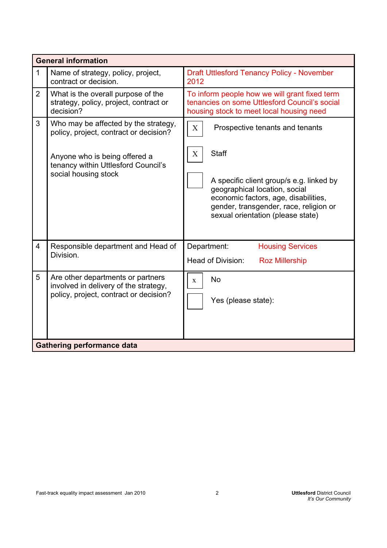|                | <b>General information</b>                                                                                           |                                                                                                                                                                                                  |  |  |
|----------------|----------------------------------------------------------------------------------------------------------------------|--------------------------------------------------------------------------------------------------------------------------------------------------------------------------------------------------|--|--|
| $\mathbf{1}$   | Name of strategy, policy, project,<br>contract or decision.                                                          | <b>Draft Uttlesford Tenancy Policy - November</b><br>2012                                                                                                                                        |  |  |
| $\overline{2}$ | What is the overall purpose of the<br>strategy, policy, project, contract or<br>decision?                            | To inform people how we will grant fixed term<br>tenancies on some Uttlesford Council's social<br>housing stock to meet local housing need                                                       |  |  |
| 3              | Who may be affected by the strategy,<br>policy, project, contract or decision?                                       | $\boldsymbol{\mathrm{X}}$<br>Prospective tenants and tenants                                                                                                                                     |  |  |
|                | Anyone who is being offered a<br>tenancy within Uttlesford Council's<br>social housing stock                         | <b>Staff</b><br>X                                                                                                                                                                                |  |  |
|                |                                                                                                                      | A specific client group/s e.g. linked by<br>geographical location, social<br>economic factors, age, disabilities,<br>gender, transgender, race, religion or<br>sexual orientation (please state) |  |  |
| $\overline{4}$ | Responsible department and Head of<br>Division.                                                                      | Department:<br><b>Housing Services</b><br>Head of Division:<br><b>Roz Millership</b>                                                                                                             |  |  |
| 5              | Are other departments or partners<br>involved in delivery of the strategy,<br>policy, project, contract or decision? | <b>No</b><br>$\mathbf{X}$<br>Yes (please state):                                                                                                                                                 |  |  |
|                | <b>Gathering performance data</b>                                                                                    |                                                                                                                                                                                                  |  |  |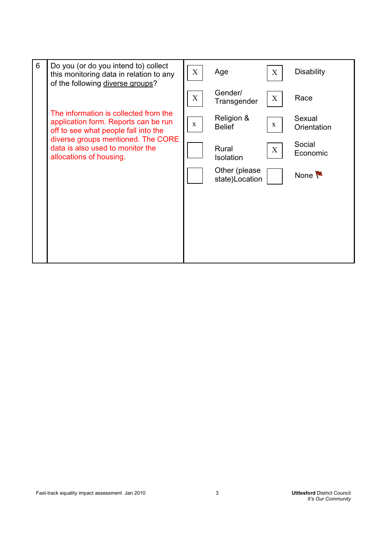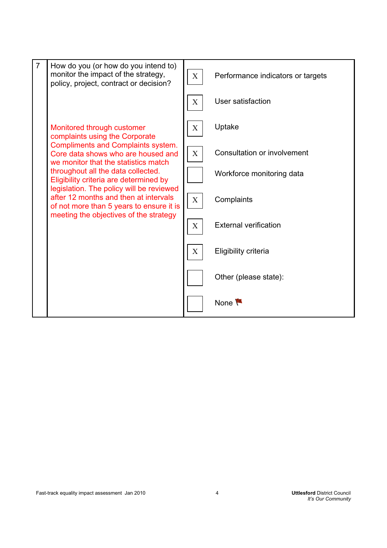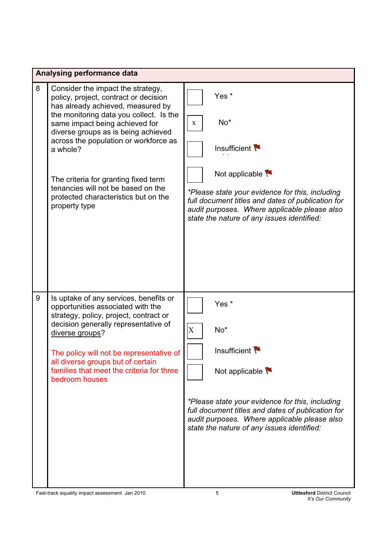|   | Analysing performance data                                                                                            |                |                                                                                                                                                                                                    |  |
|---|-----------------------------------------------------------------------------------------------------------------------|----------------|----------------------------------------------------------------------------------------------------------------------------------------------------------------------------------------------------|--|
| 8 | Consider the impact the strategy,<br>policy, project, contract or decision<br>has already achieved, measured by       |                | Yes <sup>*</sup>                                                                                                                                                                                   |  |
|   | the monitoring data you collect. Is the<br>same impact being achieved for<br>diverse groups as is being achieved      | $\mathbf{X}$   | $No*$                                                                                                                                                                                              |  |
|   | across the population or workforce as<br>a whole?                                                                     |                | Insufficient                                                                                                                                                                                       |  |
|   | The criteria for granting fixed term                                                                                  |                | Not applicable                                                                                                                                                                                     |  |
|   | tenancies will not be based on the<br>protected characteristics but on the<br>property type                           |                | *Please state your evidence for this, including<br>full document titles and dates of publication for<br>audit purposes. Where applicable please also<br>state the nature of any issues identified: |  |
|   |                                                                                                                       |                |                                                                                                                                                                                                    |  |
|   |                                                                                                                       |                |                                                                                                                                                                                                    |  |
| 9 | Is uptake of any services, benefits or<br>opportunities associated with the<br>strategy, policy, project, contract or |                | Yes <sup>*</sup>                                                                                                                                                                                   |  |
|   | decision generally representative of<br>diverse groups?                                                               | $\overline{X}$ | No <sup>*</sup>                                                                                                                                                                                    |  |
|   | The policy will not be representative of<br>all diverse groups but of certain                                         |                | Insufficient                                                                                                                                                                                       |  |
|   | families that meet the criteria for three<br>bedroom houses                                                           |                | Not applicable                                                                                                                                                                                     |  |
|   |                                                                                                                       |                | *Please state your evidence for this, including<br>full document titles and dates of publication for<br>audit purposes. Where applicable please also<br>state the nature of any issues identified: |  |
|   |                                                                                                                       |                |                                                                                                                                                                                                    |  |
|   | Fast-track equality impact assessment Jan 2010                                                                        | 5              | <b>Uttlesford District Council</b>                                                                                                                                                                 |  |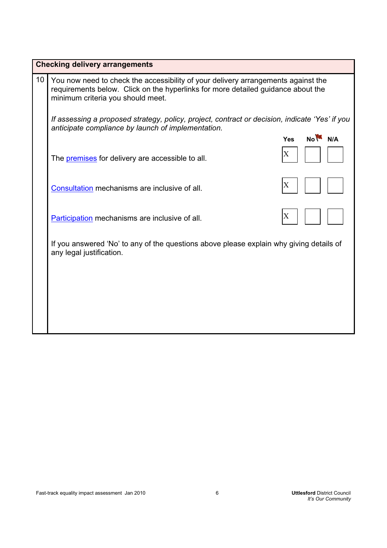|    | <b>Checking delivery arrangements</b>                                                                                                                                                                      |                                        |  |  |
|----|------------------------------------------------------------------------------------------------------------------------------------------------------------------------------------------------------------|----------------------------------------|--|--|
| 10 | You now need to check the accessibility of your delivery arrangements against the<br>requirements below. Click on the hyperlinks for more detailed guidance about the<br>minimum criteria you should meet. |                                        |  |  |
|    | If assessing a proposed strategy, policy, project, contract or decision, indicate 'Yes' if you<br>anticipate compliance by launch of implementation.                                                       |                                        |  |  |
|    |                                                                                                                                                                                                            | $No$ $M \rightarrow N/A$<br><b>Yes</b> |  |  |
|    | The <b>premises</b> for delivery are accessible to all.                                                                                                                                                    | X                                      |  |  |
|    | Consultation mechanisms are inclusive of all.                                                                                                                                                              | X                                      |  |  |
|    | Participation mechanisms are inclusive of all.                                                                                                                                                             | X                                      |  |  |
|    | If you answered 'No' to any of the questions above please explain why giving details of<br>any legal justification.                                                                                        |                                        |  |  |
|    |                                                                                                                                                                                                            |                                        |  |  |
|    |                                                                                                                                                                                                            |                                        |  |  |
|    |                                                                                                                                                                                                            |                                        |  |  |
|    |                                                                                                                                                                                                            |                                        |  |  |
|    |                                                                                                                                                                                                            |                                        |  |  |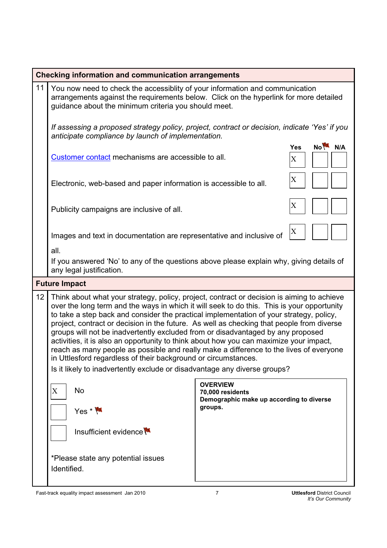|    | <b>Checking information and communication arrangements</b>                                                                                                                                                                                                                                                                                                                                                                                                                                                                                                                                                                                                                                                                                                                                             |                                                                                            |                                           |  |
|----|--------------------------------------------------------------------------------------------------------------------------------------------------------------------------------------------------------------------------------------------------------------------------------------------------------------------------------------------------------------------------------------------------------------------------------------------------------------------------------------------------------------------------------------------------------------------------------------------------------------------------------------------------------------------------------------------------------------------------------------------------------------------------------------------------------|--------------------------------------------------------------------------------------------|-------------------------------------------|--|
| 11 | You now need to check the accessiblity of your information and communication<br>arrangements against the requirements below. Click on the hyperlink for more detailed<br>guidance about the minimum criteria you should meet.                                                                                                                                                                                                                                                                                                                                                                                                                                                                                                                                                                          |                                                                                            |                                           |  |
|    | If assessing a proposed strategy policy, project, contract or decision, indicate 'Yes' if you<br>anticipate compliance by launch of implementation.                                                                                                                                                                                                                                                                                                                                                                                                                                                                                                                                                                                                                                                    |                                                                                            |                                           |  |
|    | Customer contact mechanisms are accessible to all.                                                                                                                                                                                                                                                                                                                                                                                                                                                                                                                                                                                                                                                                                                                                                     |                                                                                            | No <sup>V</sup><br>N/A<br><b>Yes</b><br>X |  |
|    | Electronic, web-based and paper information is accessible to all.                                                                                                                                                                                                                                                                                                                                                                                                                                                                                                                                                                                                                                                                                                                                      |                                                                                            | X                                         |  |
|    | Publicity campaigns are inclusive of all.                                                                                                                                                                                                                                                                                                                                                                                                                                                                                                                                                                                                                                                                                                                                                              |                                                                                            | X                                         |  |
|    | Images and text in documentation are representative and inclusive of                                                                                                                                                                                                                                                                                                                                                                                                                                                                                                                                                                                                                                                                                                                                   |                                                                                            | X                                         |  |
|    | all.<br>If you answered 'No' to any of the questions above please explain why, giving details of<br>any legal justification.                                                                                                                                                                                                                                                                                                                                                                                                                                                                                                                                                                                                                                                                           |                                                                                            |                                           |  |
|    | <b>Future Impact</b>                                                                                                                                                                                                                                                                                                                                                                                                                                                                                                                                                                                                                                                                                                                                                                                   |                                                                                            |                                           |  |
| 12 | Think about what your strategy, policy, project, contract or decision is aiming to achieve<br>over the long term and the ways in which it will seek to do this. This is your opportunity<br>to take a step back and consider the practical implementation of your strategy, policy,<br>project, contract or decision in the future. As well as checking that people from diverse<br>groups will not be inadvertently excluded from or disadvantaged by any proposed<br>activities, it is also an opportunity to think about how you can maximize your impact,<br>reach as many people as possible and really make a difference to the lives of everyone<br>in Uttlesford regardless of their background or circumstances.<br>Is it likely to inadvertently exclude or disadvantage any diverse groups? |                                                                                            |                                           |  |
|    | <b>No</b><br>X<br>$Yes * M$                                                                                                                                                                                                                                                                                                                                                                                                                                                                                                                                                                                                                                                                                                                                                                            | <b>OVERVIEW</b><br>70,000 residents<br>Demographic make up according to diverse<br>groups. |                                           |  |
|    | Insufficient evidence                                                                                                                                                                                                                                                                                                                                                                                                                                                                                                                                                                                                                                                                                                                                                                                  |                                                                                            |                                           |  |
|    | *Please state any potential issues<br>Identified.                                                                                                                                                                                                                                                                                                                                                                                                                                                                                                                                                                                                                                                                                                                                                      |                                                                                            |                                           |  |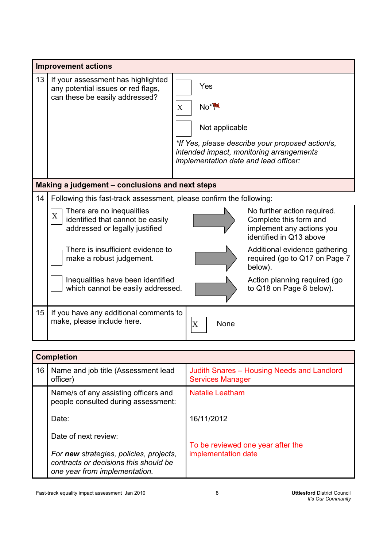|    | <b>Improvement actions</b>                                                                                     |                                                                                                                                                                                        |  |  |  |
|----|----------------------------------------------------------------------------------------------------------------|----------------------------------------------------------------------------------------------------------------------------------------------------------------------------------------|--|--|--|
| 13 | If your assessment has highlighted<br>any potential issues or red flags,<br>can these be easily addressed?     | Yes<br>$No*$<br>$\mathbf X$<br>Not applicable<br>*If Yes, please describe your proposed action/s,<br>intended impact, monitoring arrangements<br>implementation date and lead officer: |  |  |  |
|    | Making a judgement - conclusions and next steps                                                                |                                                                                                                                                                                        |  |  |  |
| 14 | Following this fast-track assessment, please confirm the following:                                            |                                                                                                                                                                                        |  |  |  |
|    | There are no inequalities<br>$\mathbf X$<br>identified that cannot be easily<br>addressed or legally justified | No further action required.<br>Complete this form and<br>implement any actions you<br>identified in Q13 above                                                                          |  |  |  |
|    | There is insufficient evidence to<br>make a robust judgement.                                                  | Additional evidence gathering<br>required (go to Q17 on Page 7<br>below).                                                                                                              |  |  |  |
|    | Inequalities have been identified<br>which cannot be easily addressed.                                         | Action planning required (go<br>to Q18 on Page 8 below).                                                                                                                               |  |  |  |
| 15 | If you have any additional comments to<br>make, please include here.                                           | $\overline{\text{X}}$<br>None                                                                                                                                                          |  |  |  |

| <b>Completion</b> |                                                                                                                   |                                                                       |
|-------------------|-------------------------------------------------------------------------------------------------------------------|-----------------------------------------------------------------------|
| 16                | Name and job title (Assessment lead<br>officer)                                                                   | Judith Snares - Housing Needs and Landlord<br><b>Services Manager</b> |
|                   | Name/s of any assisting officers and<br>people consulted during assessment:                                       | <b>Natalie Leatham</b>                                                |
|                   | Date:                                                                                                             | 16/11/2012                                                            |
|                   | Date of next review:                                                                                              | To be reviewed one year after the                                     |
|                   | For new strategies, policies, projects,<br>contracts or decisions this should be<br>one year from implementation. | implementation date                                                   |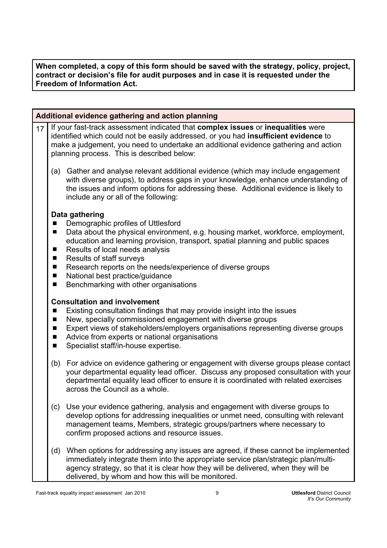**When completed, a copy of this form should be saved with the strategy, policy, project, contract or decision's file for audit purposes and in case it is requested under the Freedom of Information Act.** 

|    | Additional evidence gathering and action planning                                                                                                                                                                                                                                                            |                                                                                                                                                                                                                                                                                                                                                                                                                                             |  |  |
|----|--------------------------------------------------------------------------------------------------------------------------------------------------------------------------------------------------------------------------------------------------------------------------------------------------------------|---------------------------------------------------------------------------------------------------------------------------------------------------------------------------------------------------------------------------------------------------------------------------------------------------------------------------------------------------------------------------------------------------------------------------------------------|--|--|
| 17 | If your fast-track assessment indicated that complex issues or inequalities were<br>identified which could not be easily addressed, or you had insufficient evidence to<br>make a judgement, you need to undertake an additional evidence gathering and action<br>planning process. This is described below: |                                                                                                                                                                                                                                                                                                                                                                                                                                             |  |  |
|    | (a)                                                                                                                                                                                                                                                                                                          | Gather and analyse relevant additional evidence (which may include engagement<br>with diverse groups), to address gaps in your knowledge, enhance understanding of<br>the issues and inform options for addressing these. Additional evidence is likely to<br>include any or all of the following:                                                                                                                                          |  |  |
|    | П<br>ш<br>ш<br>$\blacksquare$<br>$\blacksquare$<br>П<br>ш                                                                                                                                                                                                                                                    | Data gathering<br>Demographic profiles of Uttlesford<br>Data about the physical environment, e.g. housing market, workforce, employment,<br>education and learning provision, transport, spatial planning and public spaces<br>Results of local needs analysis<br><b>Results of staff surveys</b><br>Research reports on the needs/experience of diverse groups<br>National best practice/guidance<br>Benchmarking with other organisations |  |  |
|    | П<br>ш<br>П<br>П<br>П                                                                                                                                                                                                                                                                                        | <b>Consultation and involvement</b><br>Existing consultation findings that may provide insight into the issues<br>New, specially commissioned engagement with diverse groups<br>Expert views of stakeholders/employers organisations representing diverse groups<br>Advice from experts or national organisations<br>Specialist staff/in-house expertise.                                                                                   |  |  |
|    | (b)                                                                                                                                                                                                                                                                                                          | For advice on evidence gathering or engagement with diverse groups please contact<br>your departmental equality lead officer. Discuss any proposed consultation with your<br>departmental equality lead officer to ensure it is coordinated with related exercises<br>across the Council as a whole.                                                                                                                                        |  |  |
|    | (c)                                                                                                                                                                                                                                                                                                          | Use your evidence gathering, analysis and engagement with diverse groups to<br>develop options for addressing inequalities or unmet need, consulting with relevant<br>management teams, Members, strategic groups/partners where necessary to<br>confirm proposed actions and resource issues.                                                                                                                                              |  |  |
|    | (d)                                                                                                                                                                                                                                                                                                          | When options for addressing any issues are agreed, if these cannot be implemented<br>immediately integrate them into the appropriate service plan/strategic plan/multi-<br>agency strategy, so that it is clear how they will be delivered, when they will be<br>delivered, by whom and how this will be monitored.                                                                                                                         |  |  |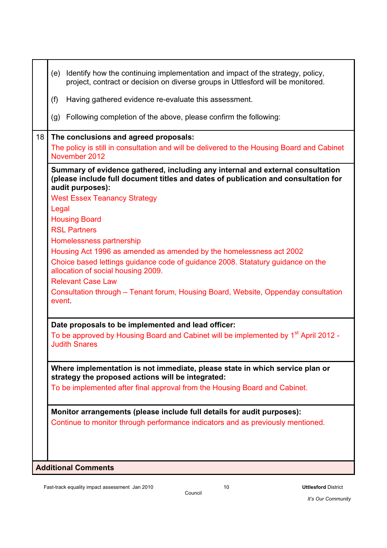| Identify how the continuing implementation and impact of the strategy, policy,<br>(e)<br>project, contract or decision on diverse groups in Uttlesford will be monitored.                |
|------------------------------------------------------------------------------------------------------------------------------------------------------------------------------------------|
| (f)<br>Having gathered evidence re-evaluate this assessment.                                                                                                                             |
| Following completion of the above, please confirm the following:<br>(g)                                                                                                                  |
| 18<br>The conclusions and agreed proposals:                                                                                                                                              |
| The policy is still in consultation and will be delivered to the Housing Board and Cabinet<br>November 2012                                                                              |
| Summary of evidence gathered, including any internal and external consultation<br>(please include full document titles and dates of publication and consultation for<br>audit purposes): |
| <b>West Essex Teanancy Strategy</b>                                                                                                                                                      |
| Legal                                                                                                                                                                                    |
| <b>Housing Board</b>                                                                                                                                                                     |
| <b>RSL Partners</b>                                                                                                                                                                      |
| Homelessness partnership                                                                                                                                                                 |
| Housing Act 1996 as amended as amended by the homelessness act 2002                                                                                                                      |
| Choice based lettings guidance code of guidance 2008. Statatury guidance on the<br>allocation of social housing 2009.                                                                    |
| <b>Relevant Case Law</b>                                                                                                                                                                 |
| Consultation through – Tenant forum, Housing Board, Website, Oppenday consultation<br>event                                                                                              |
| Date proposals to be implemented and lead officer:                                                                                                                                       |
| To be approved by Housing Board and Cabinet will be implemented by 1 <sup>st</sup> April 2012 -<br><b>Judith Snares</b>                                                                  |
| Where implementation is not immediate, please state in which service plan or<br>strategy the proposed actions will be integrated:                                                        |
| To be implemented after final approval from the Housing Board and Cabinet.                                                                                                               |
| Monitor arrangements (please include full details for audit purposes):                                                                                                                   |
| Continue to monitor through performance indicators and as previously mentioned.                                                                                                          |
|                                                                                                                                                                                          |
|                                                                                                                                                                                          |
| <b>Additional Comments</b>                                                                                                                                                               |

Council

*It's Our Community*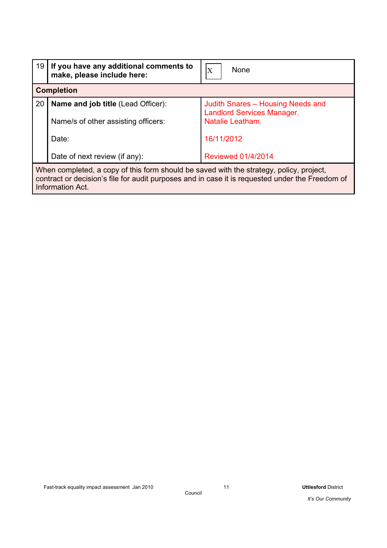| 19                                                                                                                                                                                                             | If you have any additional comments to<br>make, please include here: | None<br>$\boldsymbol{\mathrm{X}}$                                      |  |
|----------------------------------------------------------------------------------------------------------------------------------------------------------------------------------------------------------------|----------------------------------------------------------------------|------------------------------------------------------------------------|--|
|                                                                                                                                                                                                                | <b>Completion</b>                                                    |                                                                        |  |
| 20                                                                                                                                                                                                             | <b>Name and job title (Lead Officer):</b>                            | Judith Snares - Housing Needs and<br><b>Landlord Services Manager.</b> |  |
|                                                                                                                                                                                                                | Name/s of other assisting officers:                                  | Natalie Leatham.                                                       |  |
|                                                                                                                                                                                                                | Date:                                                                | 16/11/2012                                                             |  |
|                                                                                                                                                                                                                | Date of next review (if any):                                        | <b>Reviewed 01/4/2014</b>                                              |  |
| When completed, a copy of this form should be saved with the strategy, policy, project,<br>contract or decision's file for audit purposes and in case it is requested under the Freedom of<br>Information Act. |                                                                      |                                                                        |  |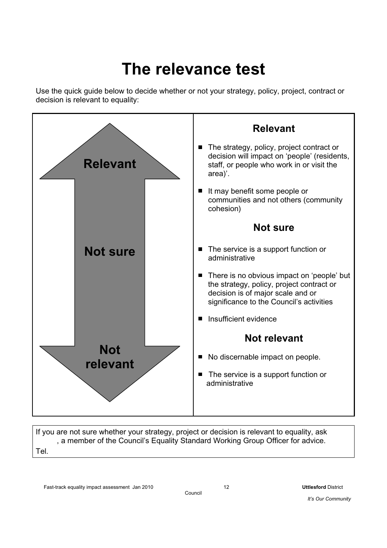# **The relevance test**

Use the quick guide below to decide whether or not your strategy, policy, project, contract or decision is relevant to equality:



If you are not sure whether your strategy, project or decision is relevant to equality, ask , a member of the Council's Equality Standard Working Group Officer for advice. Tel.

Council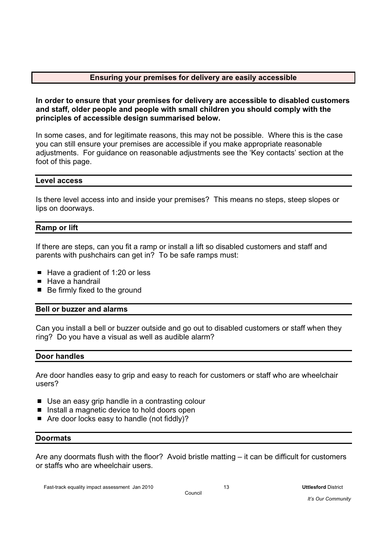#### **Ensuring your premises for delivery are easily accessible**

**In order to ensure that your premises for delivery are accessible to disabled customers and staff, older people and people with small children you should comply with the principles of accessible design summarised below.** 

In some cases, and for legitimate reasons, this may not be possible. Where this is the case you can still ensure your premises are accessible if you make appropriate reasonable adjustments. For guidance on reasonable adjustments see the 'Key contacts' section at the foot of this page.

#### **Level access**

Is there level access into and inside your premises? This means no steps, steep slopes or lips on doorways.

#### **Ramp or lift**

If there are steps, can you fit a ramp or install a lift so disabled customers and staff and parents with pushchairs can get in? To be safe ramps must:

- $\blacksquare$  Have a gradient of 1:20 or less
- $\blacksquare$  Have a handrail
- Be firmly fixed to the ground

#### **Bell or buzzer and alarms**

Can you install a bell or buzzer outside and go out to disabled customers or staff when they ring? Do you have a visual as well as audible alarm?

#### **Door handles**

Are door handles easy to grip and easy to reach for customers or staff who are wheelchair users?

- Use an easy grip handle in a contrasting colour
- Install a magnetic device to hold doors open
- $\blacksquare$  Are door locks easy to handle (not fiddly)?

#### **Doormats**

Are any doormats flush with the floor? Avoid bristle matting – it can be difficult for customers or staffs who are wheelchair users.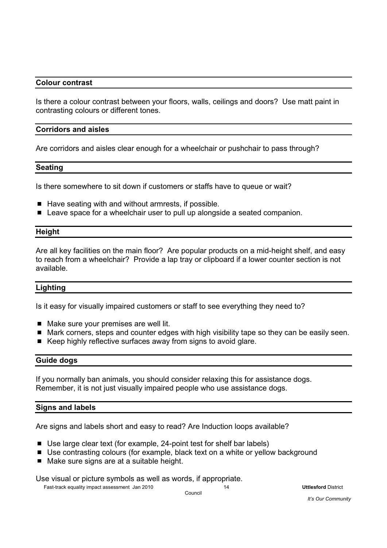#### **Colour contrast**

Is there a colour contrast between your floors, walls, ceilings and doors? Use matt paint in contrasting colours or different tones.

#### **Corridors and aisles**

Are corridors and aisles clear enough for a wheelchair or pushchair to pass through?

#### **Seating**

Is there somewhere to sit down if customers or staffs have to queue or wait?

- $\blacksquare$  Have seating with and without armrests, if possible.
- Leave space for a wheelchair user to pull up alongside a seated companion.

#### **Height**

Are all key facilities on the main floor? Are popular products on a mid-height shelf, and easy to reach from a wheelchair? Provide a lap tray or clipboard if a lower counter section is not available.

#### **Lighting**

Is it easy for visually impaired customers or staff to see everything they need to?

- Make sure your premises are well lit.
- Mark corners, steps and counter edges with high visibility tape so they can be easily seen.
- Keep highly reflective surfaces away from signs to avoid glare.

#### **Guide dogs**

If you normally ban animals, you should consider relaxing this for assistance dogs. Remember, it is not just visually impaired people who use assistance dogs.

#### **Signs and labels**

Are signs and labels short and easy to read? Are Induction loops available?

- Use large clear text (for example, 24-point test for shelf bar labels)
- Use contrasting colours (for example, black text on a white or yellow background
- Make sure signs are at a suitable height.

Use visual or picture symbols as well as words, if appropriate.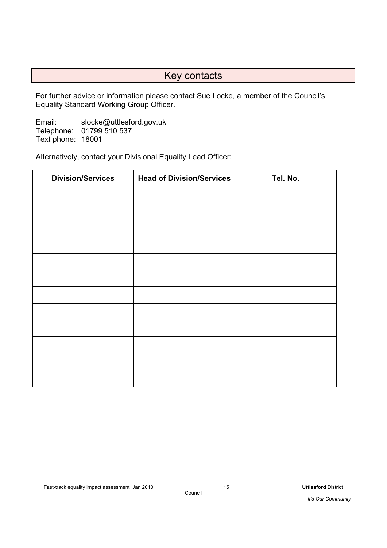# Key contacts

For further advice or information please contact Sue Locke, a member of the Council's Equality Standard Working Group Officer.

Email: slocke@uttlesford.gov.uk Telephone: 01799 510 537 Text phone: 18001

Alternatively, contact your Divisional Equality Lead Officer:

| <b>Division/Services</b> | <b>Head of Division/Services</b> | Tel. No. |
|--------------------------|----------------------------------|----------|
|                          |                                  |          |
|                          |                                  |          |
|                          |                                  |          |
|                          |                                  |          |
|                          |                                  |          |
|                          |                                  |          |
|                          |                                  |          |
|                          |                                  |          |
|                          |                                  |          |
|                          |                                  |          |
|                          |                                  |          |
|                          |                                  |          |